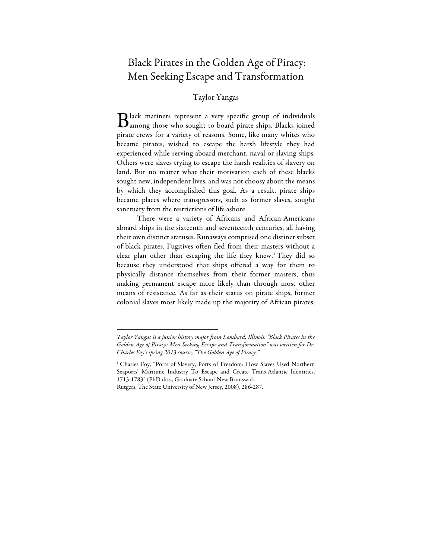## Black Pirates in the Golden Age of Piracy: Men Seeking Escape and Transformation

## Taylor Yangas

lack mariners represent a very specific group of individuals Black mariners represent a very specific group of individuals<br>among those who sought to board pirate ships. Blacks joined pirate crews for a variety of reasons. Some, like many whites who became pirates, wished to escape the harsh lifestyle they had experienced while serving aboard merchant, naval or slaving ships. Others were slaves trying to escape the harsh realities of slavery on land. But no matter what their motivation each of these blacks sought new, independent lives, and was not choosy about the means by which they accomplished this goal. As a result, pirate ships became places where transgressors, such as former slaves, sought sanctuary from the restrictions of life ashore.

There were a variety of Africans and African-Americans aboard ships in the sixteenth and seventeenth centuries, all having their own distinct statuses. Runaways comprised one distinct subset of black pirates. Fugitives often fled from their masters without a clear plan other than escaping the life they knew.<sup>1</sup> They did so because they understood that ships offered a way for them to physically distance themselves from their former masters, thus making permanent escape more likely than through most other means of resistance. As far as their status on pirate ships, former colonial slaves most likely made up the majority of African pirates,

*Taylor Yangas is a junior history major from Lombard, Illinois. "Black Pirates in the Golden Age of Piracy: Men Seeking Escape and Transformation" was written for Dr. Charles Foy's spring 2013 course, "The Golden Age of Piracy."* 

<sup>&</sup>lt;sup>1</sup> Charles Foy, "Ports of Slavery, Ports of Freedom: How Slaves Used Northern Seaports' Maritime Industry To Escape and Create Trans-Atlantic Identities, 1713-1783" (PhD diss., Graduate School-New Brunswick Rutgers, The State University of New Jersey, 2008), 286-287.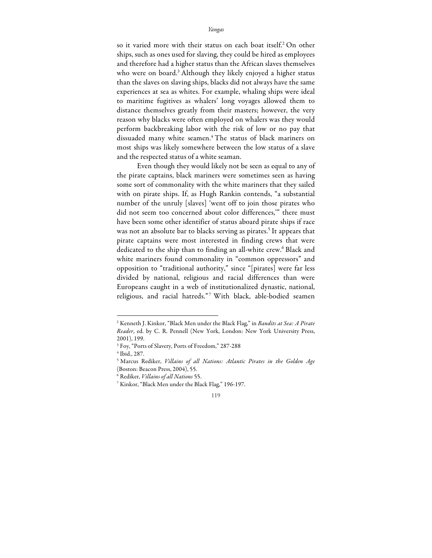so it varied more with their status on each boat itself.<sup>2</sup> On other ships, such as ones used for slaving, they could be hired as employees and therefore had a higher status than the African slaves themselves who were on board.<sup>3</sup> Although they likely enjoyed a higher status than the slaves on slaving ships, blacks did not always have the same experiences at sea as whites. For example, whaling ships were ideal to maritime fugitives as whalers' long voyages allowed them to distance themselves greatly from their masters; however, the very reason why blacks were often employed on whalers was they would perform backbreaking labor with the risk of low or no pay that dissuaded many white seamen.4 The status of black mariners on most ships was likely somewhere between the low status of a slave and the respected status of a white seaman.

Even though they would likely not be seen as equal to any of the pirate captains, black mariners were sometimes seen as having some sort of commonality with the white mariners that they sailed with on pirate ships. If, as Hugh Rankin contends, "a substantial number of the unruly [slaves] 'went off to join those pirates who did not seem too concerned about color differences,'" there must have been some other identifier of status aboard pirate ships if race was not an absolute bar to blacks serving as pirates.<sup>5</sup> It appears that pirate captains were most interested in finding crews that were dedicated to the ship than to finding an all-white crew.<sup>6</sup> Black and white mariners found commonality in "common oppressors" and opposition to "traditional authority," since "[pirates] were far less divided by national, religious and racial differences than were Europeans caught in a web of institutionalized dynastic, national, religious, and racial hatreds."7 With black, able-bodied seamen

<sup>2</sup> Kenneth J. Kinkor, "Black Men under the Black Flag," in *Bandits at Sea: A Pirate Reader*, ed. by C. R. Pennell (New York, London: New York University Press, 2001), 199.

<sup>3</sup> Foy, "Ports of Slavery, Ports of Freedom," 287-288

<sup>4</sup> Ibid., 287.

<sup>5</sup> Marcus Rediker, *Villains of all Nations: Atlantic Pirates in the Golden Age*  (Boston: Beacon Press, 2004), 55.

<sup>6</sup> Rediker, *Villains of all Nations* 55.

<sup>7</sup> Kinkor, "Black Men under the Black Flag," 196-197.

<sup>119</sup>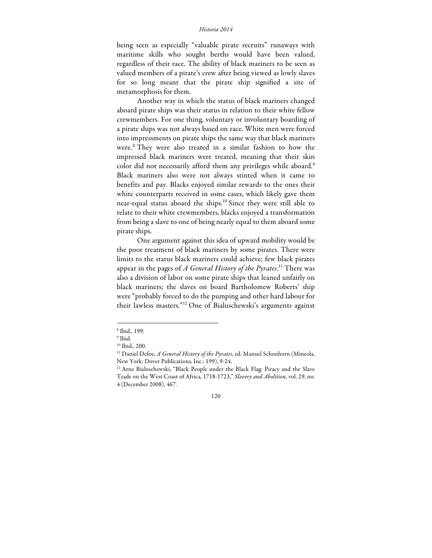## *Historia 2014*

being seen as especially "valuable pirate recruits" runaways with maritime skills who sought berths would have been valued, regardless of their race. The ability of black mariners to be seen as valued members of a pirate's crew after being viewed as lowly slaves for so long meant that the pirate ship signified a site of metamorphosis for them.

Another way in which the status of black mariners changed aboard pirate ships was their status in relation to their white fellow crewmembers. For one thing, voluntary or involuntary boarding of a pirate ships was not always based on race. White men were forced into impressments on pirate ships the same way that black mariners were.<sup>8</sup> They were also treated in a similar fashion to how the impressed black mariners were treated, meaning that their skin color did not necessarily afford them any privileges while aboard.<sup>9</sup> Black mariners also were not always stinted when it came to benefits and pay. Blacks enjoyed similar rewards to the ones their white counterparts received in some cases, which likely gave them near-equal status aboard the ships.<sup>10</sup> Since they were still able to relate to their white crewmembers, blacks enjoyed a transformation from being a slave to one of being nearly equal to them aboard some pirate ships.

One argument against this idea of upward mobility would be the poor treatment of black mariners by some pirates. There were limits to the status black mariners could achieve; few black pirates appear in the pages of *A General History of the Pyrates*. <sup>11</sup> There was also a division of labor on some pirate ships that leaned unfairly on black mariners; the slaves on board Bartholomew Roberts' ship were "probably forced to do the pumping and other hard labour for their lawless masters."12 One of Bialuschewski's arguments against

<sup>8</sup> Ibid., 199.

 $^9$  Ibid.

<sup>10</sup> Ibid., 200.

<sup>11</sup> Daniel Defoe, *A General History of the Pyrates*, ed. Manuel Schonhorn (Mineola, New York: Dover Publications, Inc.: 199), 9-24.

<sup>&</sup>lt;sup>12</sup> Arne Bialuschewski, "Black People under the Black Flag: Piracy and the Slave Trade on the West Coast of Africa, 1718-1723," *Slavery and Abolition*, vol. 29, no. 4 (December 2008), 467.

<sup>120</sup>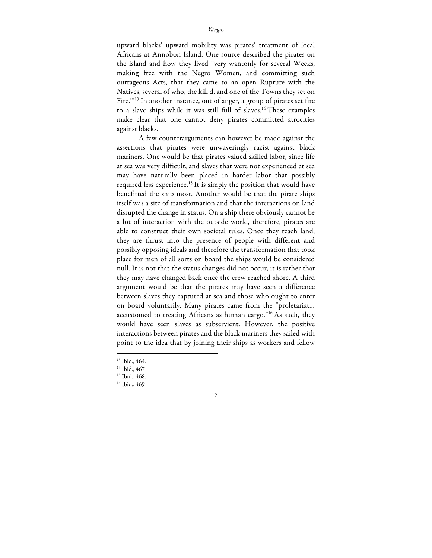upward blacks' upward mobility was pirates' treatment of local Africans at Annobon Island. One source described the pirates on the island and how they lived "very wantonly for several Weeks, making free with the Negro Women, and committing such outrageous Acts, that they came to an open Rupture with the Natives, several of who, the kill'd, and one of the Towns they set on Fire."<sup>13</sup> In another instance, out of anger, a group of pirates set fire to a slave ships while it was still full of slaves.14 These examples make clear that one cannot deny pirates committed atrocities against blacks.

A few counterarguments can however be made against the assertions that pirates were unwaveringly racist against black mariners. One would be that pirates valued skilled labor, since life at sea was very difficult, and slaves that were not experienced at sea may have naturally been placed in harder labor that possibly required less experience.<sup>15</sup> It is simply the position that would have benefitted the ship most. Another would be that the pirate ships itself was a site of transformation and that the interactions on land disrupted the change in status. On a ship there obviously cannot be a lot of interaction with the outside world, therefore, pirates are able to construct their own societal rules. Once they reach land, they are thrust into the presence of people with different and possibly opposing ideals and therefore the transformation that took place for men of all sorts on board the ships would be considered null. It is not that the status changes did not occur, it is rather that they may have changed back once the crew reached shore. A third argument would be that the pirates may have seen a difference between slaves they captured at sea and those who ought to enter on board voluntarily. Many pirates came from the "proletariat… accustomed to treating Africans as human cargo."<sup>16</sup> As such, they would have seen slaves as subservient. However, the positive interactions between pirates and the black mariners they sailed with point to the idea that by joining their ships as workers and fellow

<sup>13</sup> Ibid., 464.

<sup>&</sup>lt;sup>14</sup> Ibid., 467

<sup>15</sup> Ibid., 468.

<sup>&</sup>lt;sup>16</sup> Ibid., 469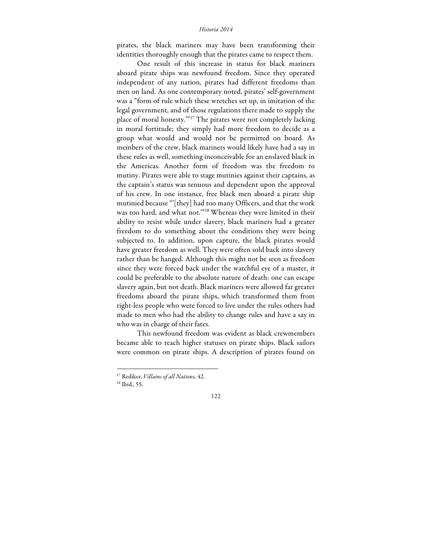pirates, the black mariners may have been transforming their identities thoroughly enough that the pirates came to respect them.

One result of this increase in status for black mariners aboard pirate ships was newfound freedom. Since they operated independent of any nation, pirates had different freedoms than men on land. As one contemporary noted, pirates' self-government was a "form of rule which these wretches set up, in imitation of the legal government, and of those regulations there made to supply the place of moral honesty.'"17 The pirates were not completely lacking in moral fortitude; they simply had more freedom to decide as a group what would and would not be permitted on board. As members of the crew, black mariners would likely have had a say in these rules as well, something inconceivable for an enslaved black in the Americas. Another form of freedom was the freedom to mutiny. Pirates were able to stage mutinies against their captains, as the captain's status was tenuous and dependent upon the approval of his crew. In one instance, free black men aboard a pirate ship mutinied because "'[they] had too many Officers, and that the work was too hard, and what not.'"18 Whereas they were limited in their ability to resist while under slavery, black mariners had a greater freedom to do something about the conditions they were being subjected to. In addition, upon capture, the black pirates would have greater freedom as well. They were often sold back into slavery rather than be hanged. Although this might not be seen as freedom since they were forced back under the watchful eye of a master, it could be preferable to the absolute nature of death: one can escape slavery again, but not death. Black mariners were allowed far greater freedoms aboard the pirate ships, which transformed them from right-less people who were forced to live under the rules others had made to men who had the ability to change rules and have a say in who was in charge of their fates.

This newfound freedom was evident as black crewmembers became able to reach higher statuses on pirate ships. Black sailors were common on pirate ships. A description of pirates found on

<sup>17</sup> Rediker, *Villains of all Nations,* 42.

<sup>18</sup> Ibid., 55.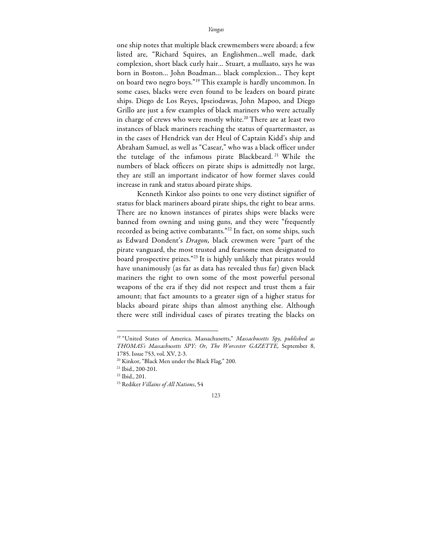one ship notes that multiple black crewmembers were aboard; a few listed are, "Richard Squires, an Englishmen…well made, dark complexion, short black curly hair… Stuart, a mullaato, says he was born in Boston… John Boadman… black complexion… They kept on board two negro boys."19 This example is hardly uncommon. In some cases, blacks were even found to be leaders on board pirate ships. Diego de Los Reyes, Ipseiodawas, John Mapoo, and Diego Grillo are just a few examples of black mariners who were actually in charge of crews who were mostly white.<sup>20</sup> There are at least two instances of black mariners reaching the status of quartermaster, as in the cases of Hendrick van der Heul of Captain Kidd's ship and Abraham Samuel, as well as "Casear," who was a black officer under the tutelage of the infamous pirate Blackbeard. <sup>21</sup> While the numbers of black officers on pirate ships is admittedly not large, they are still an important indicator of how former slaves could increase in rank and status aboard pirate ships.

Kenneth Kinkor also points to one very distinct signifier of status for black mariners aboard pirate ships, the right to bear arms. There are no known instances of pirates ships were blacks were banned from owning and using guns, and they were "frequently recorded as being active combatants."<sup>22</sup> In fact, on some ships, such as Edward Dondent's *Dragon,* black crewmen were "part of the pirate vanguard, the most trusted and fearsome men designated to board prospective prizes."23 It is highly unlikely that pirates would have unanimously (as far as data has revealed thus far) given black mariners the right to own some of the most powerful personal weapons of the era if they did not respect and trust them a fair amount; that fact amounts to a greater sign of a higher status for blacks aboard pirate ships than almost anything else. Although there were still individual cases of pirates treating the blacks on

<sup>19</sup> "United States of America. Massachusetts," *Massachusetts Spy, published as THOMAS's Massachusetts SPY: Or, The Worcester GAZETTE,* September 8, 1785. Issue 753, vol. XV, 2-3. 20 Kinkor, "Black Men under the Black Flag," 200.

<sup>21</sup> Ibid., 200-201.

<sup>22</sup> Ibid., 201.

<sup>23</sup> Rediker *Villains of All Nations*, 54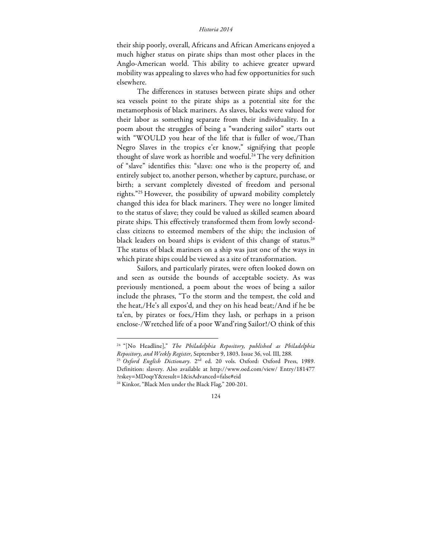## *Historia 2014*

their ship poorly, overall, Africans and African Americans enjoyed a much higher status on pirate ships than most other places in the Anglo-American world. This ability to achieve greater upward mobility was appealing to slaves who had few opportunities for such elsewhere.

The differences in statuses between pirate ships and other sea vessels point to the pirate ships as a potential site for the metamorphosis of black mariners. As slaves, blacks were valued for their labor as something separate from their individuality. In a poem about the struggles of being a "wandering sailor" starts out with "WOULD you hear of the life that is fuller of woe,/Than Negro Slaves in the tropics e'er know," signifying that people thought of slave work as horrible and woeful.<sup>24</sup> The very definition of "slave" identifies this: "slave: one who is the property of, and entirely subject to, another person, whether by capture, purchase, or birth; a servant completely divested of freedom and personal rights."25 However, the possibility of upward mobility completely changed this idea for black mariners. They were no longer limited to the status of slave; they could be valued as skilled seamen aboard pirate ships. This effectively transformed them from lowly secondclass citizens to esteemed members of the ship; the inclusion of black leaders on board ships is evident of this change of status.<sup>26</sup> The status of black mariners on a ship was just one of the ways in which pirate ships could be viewed as a site of transformation.

Sailors, and particularly pirates, were often looked down on and seen as outside the bounds of acceptable society. As was previously mentioned, a poem about the woes of being a sailor include the phrases, "To the storm and the tempest, the cold and the heat,/He's all expos'd, and they on his head beat;/And if he be ta'en, by pirates or foes,/Him they lash, or perhaps in a prison enclose-/Wretched life of a poor Wand'ring Sailor!/O think of this

<sup>&</sup>lt;sup>24 "</sup>[No Headline]," *The Philadelphia Repository, published as Philadelphia*<br>Repository, and Weekly Register, September 9, 1803. Issue 36, vol. III, 288.

<sup>&</sup>lt;sup>25</sup> Oxford English Dictionary. 2<sup>nd</sup> ed. 20 vols. Oxford: Oxford Press, 1989. Definition: slavery. Also available at http://www.oed.com/view/ Entry/181477 ?rskey=MDoqrY&result=1&isAdvanced=false#eid

<sup>&</sup>lt;sup>26</sup> Kinkor, "Black Men under the Black Flag," 200-201.

<sup>124</sup>